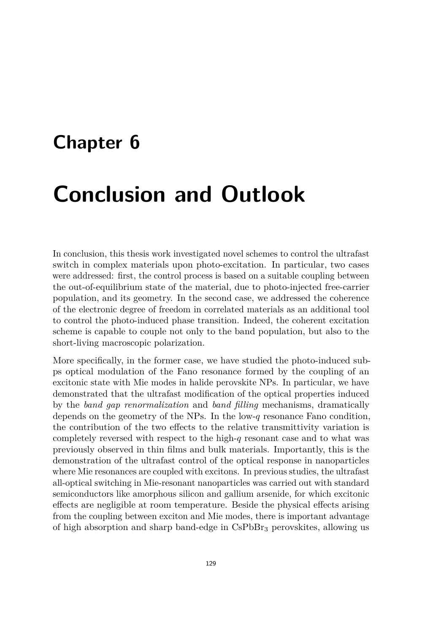## **Chapter 6**

## **Conclusion and Outlook**

In conclusion, this thesis work investigated novel schemes to control the ultrafast switch in complex materials upon photo-excitation. In particular, two cases were addressed: first, the control process is based on a suitable coupling between the out-of-equilibrium state of the material, due to photo-injected free-carrier population, and its geometry. In the second case, we addressed the coherence of the electronic degree of freedom in correlated materials as an additional tool to control the photo-induced phase transition. Indeed, the coherent excitation scheme is capable to couple not only to the band population, but also to the short-living macroscopic polarization.

More specifically, in the former case, we have studied the photo-induced subps optical modulation of the Fano resonance formed by the coupling of an excitonic state with Mie modes in halide perovskite NPs. In particular, we have demonstrated that the ultrafast modification of the optical properties induced by the *band gap renormalization* and *band filling* mechanisms, dramatically depends on the geometry of the NPs. In the low-*q* resonance Fano condition, the contribution of the two effects to the relative transmittivity variation is completely reversed with respect to the high-*q* resonant case and to what was previously observed in thin films and bulk materials. Importantly, this is the demonstration of the ultrafast control of the optical response in nanoparticles where Mie resonances are coupled with excitons. In previous studies, the ultrafast all-optical switching in Mie-resonant nanoparticles was carried out with standard semiconductors like amorphous silicon and gallium arsenide, for which excitonic effects are negligible at room temperature. Beside the physical effects arising from the coupling between exciton and Mie modes, there is important advantage of high absorption and sharp band-edge in CsPbBr<sup>3</sup> perovskites, allowing us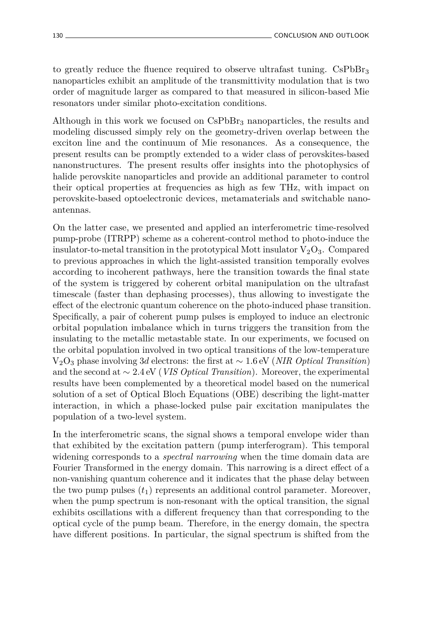to greatly reduce the fluence required to observe ultrafast tuning. CsPbBr<sub>3</sub> nanoparticles exhibit an amplitude of the transmittivity modulation that is two order of magnitude larger as compared to that measured in silicon-based Mie resonators under similar photo-excitation conditions.

Although in this work we focused on  $CsPbBr<sub>3</sub>$  nanoparticles, the results and modeling discussed simply rely on the geometry-driven overlap between the exciton line and the continuum of Mie resonances. As a consequence, the present results can be promptly extended to a wider class of perovskites-based nanonstructures. The present results offer insights into the photophysics of halide perovskite nanoparticles and provide an additional parameter to control their optical properties at frequencies as high as few THz, with impact on perovskite-based optoelectronic devices, metamaterials and switchable nanoantennas.

On the latter case, we presented and applied an interferometric time-resolved pump-probe (ITRPP) scheme as a coherent-control method to photo-induce the insulator-to-metal transition in the prototypical Mott insulator  $V_2O_3$ . Compared to previous approaches in which the light-assisted transition temporally evolves according to incoherent pathways, here the transition towards the final state of the system is triggered by coherent orbital manipulation on the ultrafast timescale (faster than dephasing processes), thus allowing to investigate the effect of the electronic quantum coherence on the photo-induced phase transition. Specifically, a pair of coherent pump pulses is employed to induce an electronic orbital population imbalance which in turns triggers the transition from the insulating to the metallic metastable state. In our experiments, we focused on the orbital population involved in two optical transitions of the low-temperature V2O<sup>3</sup> phase involving 3*d* electrons: the first at ∼ 1*.*6 eV (*NIR Optical Transition*) and the second at ∼ 2*.*4 eV (*VIS Optical Transition*). Moreover, the experimental results have been complemented by a theoretical model based on the numerical solution of a set of Optical Bloch Equations (OBE) describing the light-matter interaction, in which a phase-locked pulse pair excitation manipulates the population of a two-level system.

In the interferometric scans, the signal shows a temporal envelope wider than that exhibited by the excitation pattern (pump interferogram). This temporal widening corresponds to a *spectral narrowing* when the time domain data are Fourier Transformed in the energy domain. This narrowing is a direct effect of a non-vanishing quantum coherence and it indicates that the phase delay between the two pump pulses  $(t_1)$  represents an additional control parameter. Moreover, when the pump spectrum is non-resonant with the optical transition, the signal exhibits oscillations with a different frequency than that corresponding to the optical cycle of the pump beam. Therefore, in the energy domain, the spectra have different positions. In particular, the signal spectrum is shifted from the